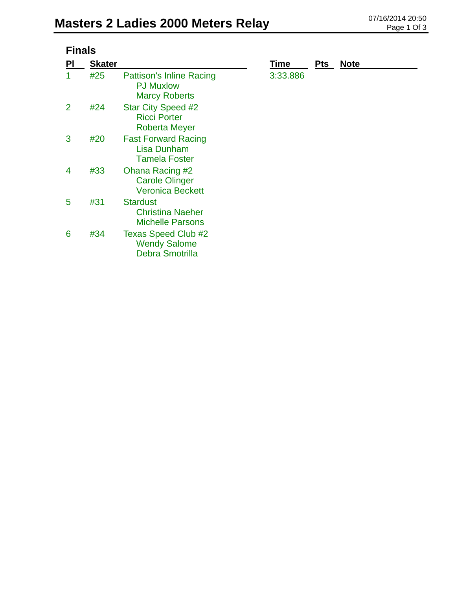| <b>Finals</b> |               |                                                                             |             |            |             |  |
|---------------|---------------|-----------------------------------------------------------------------------|-------------|------------|-------------|--|
| PI            | <b>Skater</b> |                                                                             | <b>Time</b> | <b>Pts</b> | <b>Note</b> |  |
| 1             | #25           | <b>Pattison's Inline Racing</b><br><b>PJ Muxlow</b><br><b>Marcy Roberts</b> | 3:33.886    |            |             |  |
| 2             | #24           | Star City Speed #2<br><b>Ricci Porter</b><br><b>Roberta Meyer</b>           |             |            |             |  |
| 3             | #20           | <b>Fast Forward Racing</b><br>Lisa Dunham<br><b>Tamela Foster</b>           |             |            |             |  |
| 4             | #33           | Ohana Racing #2<br><b>Carole Olinger</b><br><b>Veronica Beckett</b>         |             |            |             |  |
| 5             | #31           | <b>Stardust</b><br><b>Christina Naeher</b><br><b>Michelle Parsons</b>       |             |            |             |  |
| 6             | #34           | Texas Speed Club #2<br><b>Wendy Salome</b><br><b>Debra Smotrilla</b>        |             |            |             |  |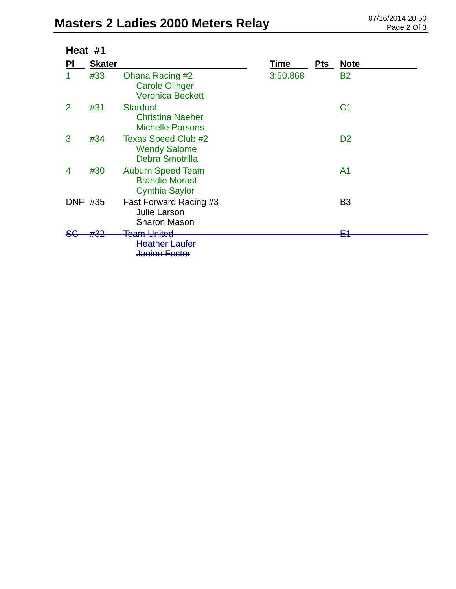## **Masters 2 Ladies 2000 Meters Relay** 07/16/2014 20:50

| Heat #1        |               |                                                                                 |          |            |                |  |
|----------------|---------------|---------------------------------------------------------------------------------|----------|------------|----------------|--|
| PI             | <b>Skater</b> |                                                                                 | Time     | <b>Pts</b> | <b>Note</b>    |  |
|                | #33           | Ohana Racing #2<br><b>Carole Olinger</b><br><b>Veronica Beckett</b>             | 3:50.868 |            | <b>B2</b>      |  |
| $\overline{2}$ | #31           | <b>Stardust</b><br><b>Christina Naeher</b><br><b>Michelle Parsons</b>           |          |            | C <sub>1</sub> |  |
| 3              | #34           | <b>Texas Speed Club #2</b><br><b>Wendy Salome</b><br><b>Debra Smotrilla</b>     |          |            | D <sub>2</sub> |  |
| 4              | #30           | <b>Auburn Speed Team</b><br><b>Brandie Morast</b><br><b>Cynthia Saylor</b>      |          |            | A <sub>1</sub> |  |
| DNF.           | #35           | Fast Forward Racing #3<br>Julie Larson<br><b>Sharon Mason</b>                   |          |            | B <sub>3</sub> |  |
|                | #20<br>TUZ.   | <del>Team United</del><br><del>Heather Laufer</del><br><del>Janine Foster</del> |          |            | ᄃ              |  |